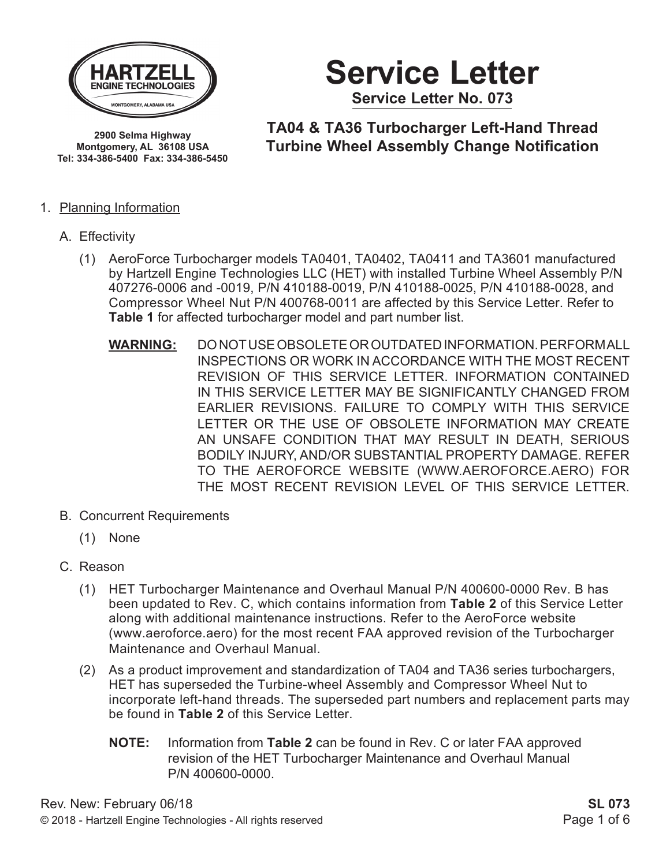

**Montgomery, AL 36108 USA Tel: 334-386-5400 Fax: 334-386-5450** **Service Letter Service Letter No. 073**

**TA04 & TA36 Turbocharger Left-Hand Thread Turbine Wheel Assembly Change Notification 2900 Selma Highway**

#### 1. Planning Information

- A. Effectivity
	- (1) AeroForce Turbocharger models TA0401, TA0402, TA0411 and TA3601 manufactured by Hartzell Engine Technologies LLC (HET) with installed Turbine Wheel Assembly P/N 407276-0006 and -0019, P/N 410188-0019, P/N 410188-0025, P/N 410188-0028, and Compressor Wheel Nut P/N 400768-0011 are affected by this Service Letter. Refer to **Table 1** for affected turbocharger model and part number list.
		- **WARNING:** DO NOT USE OBSOLETE OR OUTDATED INFORMATION. PERFORM ALL INSPECTIONS OR WORK IN ACCORDANCE WITH THE MOST RECENT REVISION OF THIS SERVICE LETTER. INFORMATION CONTAINED IN THIS SERVICE LETTER MAY BE SIGNIFICANTLY CHANGED FROM EARLIER REVISIONS. FAILURE TO COMPLY WITH THIS SERVICE LETTER OR THE USE OF OBSOLETE INFORMATION MAY CREATE AN UNSAFE CONDITION THAT MAY RESULT IN DEATH, SERIOUS BODILY INJURY, AND/OR SUBSTANTIAL PROPERTY DAMAGE. REFER TO THE AEROFORCE WEBSITE (WWW.AEROFORCE.AERO) FOR THE MOST RECENT REVISION LEVEL OF THIS SERVICE LETTER.
- B. Concurrent Requirements
	- (1) None
- C. Reason
	- (1) HET Turbocharger Maintenance and Overhaul Manual P/N 400600-0000 Rev. B has been updated to Rev. C, which contains information from **Table 2** of this Service Letter along with additional maintenance instructions. Refer to the AeroForce website (www.aeroforce.aero) for the most recent FAA approved revision of the Turbocharger Maintenance and Overhaul Manual.
	- (2) As a product improvement and standardization of TA04 and TA36 series turbochargers, HET has superseded the Turbine-wheel Assembly and Compressor Wheel Nut to incorporate left-hand threads. The superseded part numbers and replacement parts may be found in **Table 2** of this Service Letter.
		- **NOTE:** Information from **Table 2** can be found in Rev. C or later FAA approved revision of the HET Turbocharger Maintenance and Overhaul Manual P/N 400600-0000.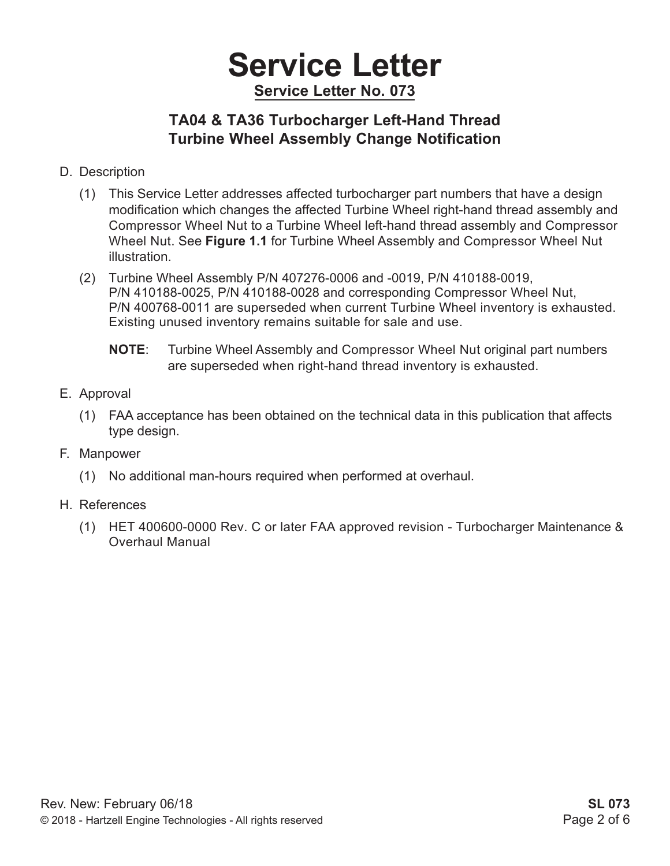## **Service Letter Service Letter No. 073**

### **TA04 & TA36 Turbocharger Left-Hand Thread Turbine Wheel Assembly Change Notification**

- D. Description
	- (1) This Service Letter addresses affected turbocharger part numbers that have a design modification which changes the affected Turbine Wheel right-hand thread assembly and Compressor Wheel Nut to a Turbine Wheel left-hand thread assembly and Compressor Wheel Nut. See **Figure 1.1** for Turbine Wheel Assembly and Compressor Wheel Nut illustration.
	- (2) Turbine Wheel Assembly P/N 407276-0006 and -0019, P/N 410188-0019, P/N 410188-0025, P/N 410188-0028 and corresponding Compressor Wheel Nut, P/N 400768-0011 are superseded when current Turbine Wheel inventory is exhausted. Existing unused inventory remains suitable for sale and use.
		- **NOTE**: Turbine Wheel Assembly and Compressor Wheel Nut original part numbers are superseded when right-hand thread inventory is exhausted.
- E. Approval
	- (1) FAA acceptance has been obtained on the technical data in this publication that affects type design.
- F. Manpower
	- (1) No additional man-hours required when performed at overhaul.
- H. References
	- (1) HET 400600-0000 Rev. C or later FAA approved revision Turbocharger Maintenance & Overhaul Manual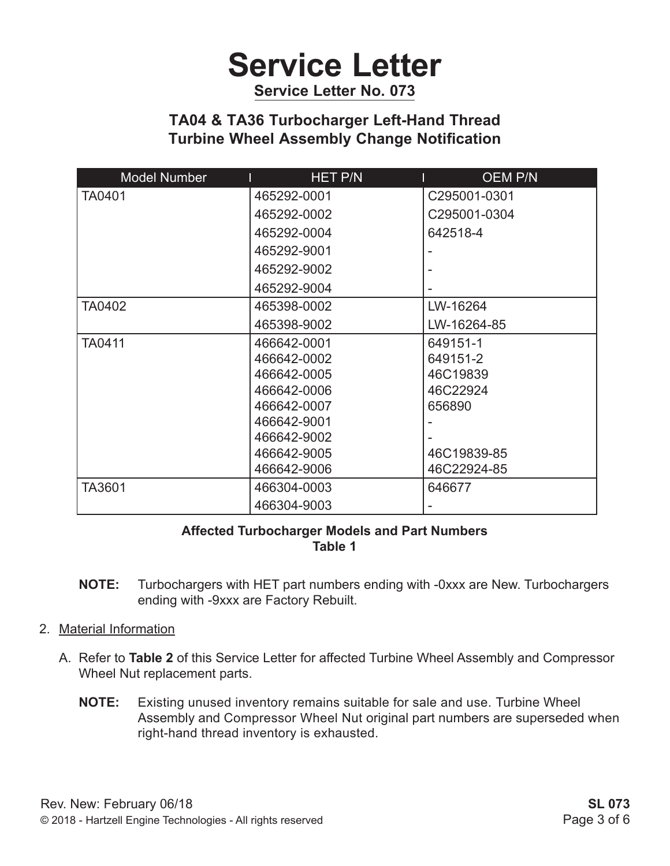# **Service Letter**

**Service Letter No. 073**

### **TA04 & TA36 Turbocharger Left-Hand Thread Turbine Wheel Assembly Change Notification**

| <b>Model Number</b>   | <b>HET P/N</b> | <b>OEM P/N</b> |
|-----------------------|----------------|----------------|
| <b>TA0401</b>         | 465292-0001    | C295001-0301   |
|                       | 465292-0002    | C295001-0304   |
|                       | 465292-0004    | 642518-4       |
|                       | 465292-9001    |                |
|                       | 465292-9002    |                |
|                       | 465292-9004    |                |
| <b>TA0402</b>         | 465398-0002    | LW-16264       |
|                       | 465398-9002    | LW-16264-85    |
| TA0411                | 466642-0001    | 649151-1       |
|                       | 466642-0002    | 649151-2       |
|                       | 466642-0005    | 46C19839       |
|                       | 466642-0006    | 46C22924       |
|                       | 466642-0007    | 656890         |
|                       | 466642-9001    |                |
|                       | 466642-9002    |                |
|                       | 466642-9005    | 46C19839-85    |
|                       | 466642-9006    | 46C22924-85    |
| TA3601<br>466304-0003 |                | 646677         |
|                       | 466304-9003    |                |

#### **Affected Turbocharger Models and Part Numbers Table 1**

- **NOTE:** Turbochargers with HET part numbers ending with -0xxx are New. Turbochargers ending with -9xxx are Factory Rebuilt.
- 2. Material Information
	- A. Refer to **Table 2** of this Service Letter for affected Turbine Wheel Assembly and Compressor Wheel Nut replacement parts.
		- **NOTE:** Existing unused inventory remains suitable for sale and use. Turbine Wheel Assembly and Compressor Wheel Nut original part numbers are superseded when right-hand thread inventory is exhausted.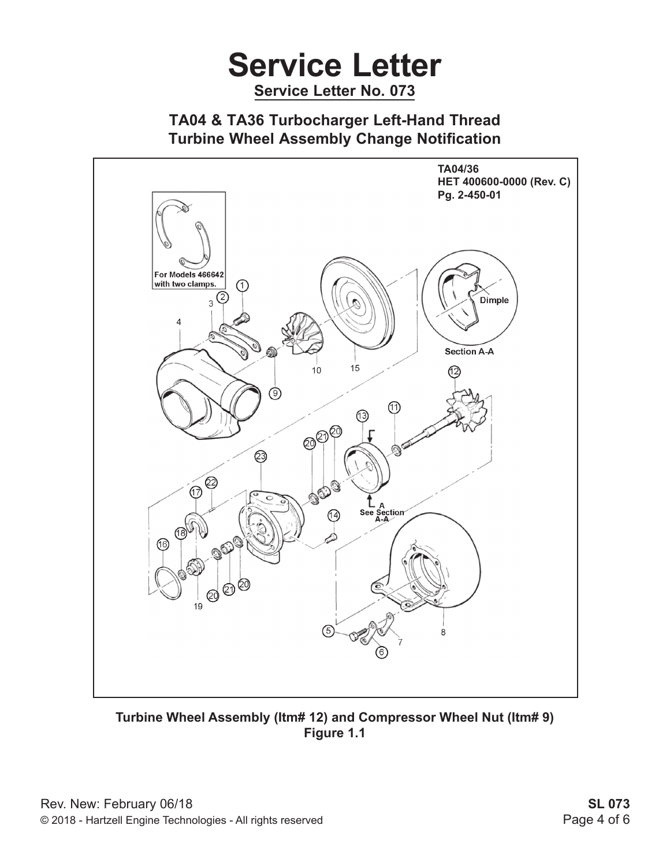# **Service Letter Service Letter No. 073**

### **TA04 & TA36 Turbocharger Left-Hand Thread Turbine Wheel Assembly Change Notification**



**Turbine Wheel Assembly (Itm# 12) and Compressor Wheel Nut (Itm# 9) Figure 1.1**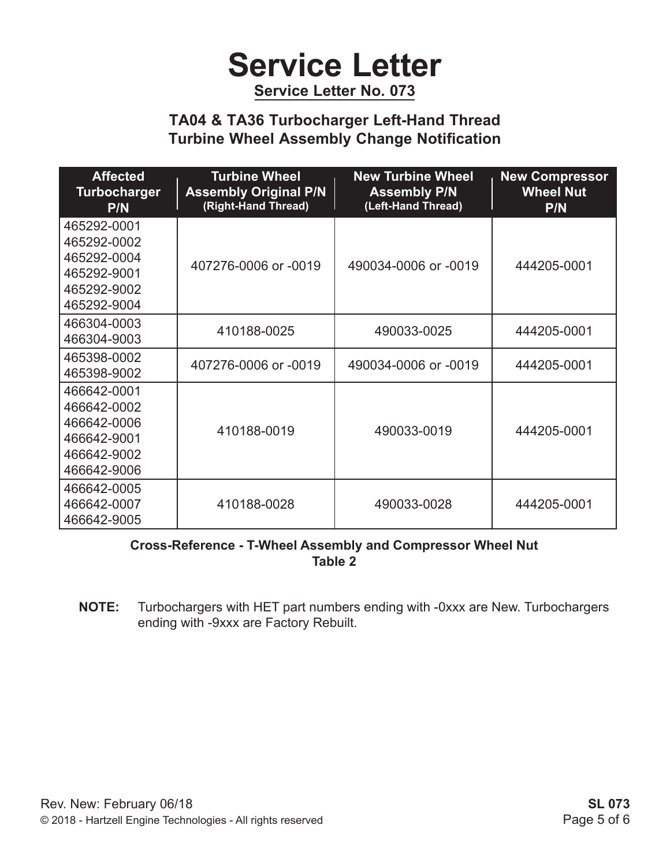# **Service Letter**

**Service Letter No. 073**

### **TA04 & TA36 Turbocharger Left-Hand Thread Turbine Wheel Assembly Change Notification**

| <b>Affected</b><br><b>Turbocharger</b><br>P/N                                          | <b>Turbine Wheel</b><br><b>Assembly Original P/N</b><br>(Right-Hand Thread) | <b>New Turbine Wheel</b><br><b>Assembly P/N</b><br>(Left-Hand Thread) | <b>New Compressor</b><br><b>Wheel Nut</b><br><b>P/N</b> |
|----------------------------------------------------------------------------------------|-----------------------------------------------------------------------------|-----------------------------------------------------------------------|---------------------------------------------------------|
| 465292-0001<br>465292-0002<br>465292-0004<br>465292-9001<br>465292-9002<br>465292-9004 | 407276-0006 or -0019                                                        | 490034-0006 or -0019                                                  | 444205-0001                                             |
| 466304-0003<br>466304-9003                                                             | 410188-0025                                                                 | 490033-0025                                                           | 444205-0001                                             |
| 465398-0002<br>465398-9002                                                             | 407276-0006 or -0019                                                        | 490034-0006 or -0019                                                  | 444205-0001                                             |
| 466642-0001<br>466642-0002<br>466642-0006<br>466642-9001<br>466642-9002<br>466642-9006 | 410188-0019                                                                 | 490033-0019                                                           | 444205-0001                                             |
| 466642-0005<br>466642-0007<br>466642-9005                                              | 410188-0028                                                                 | 490033-0028                                                           | 444205-0001                                             |

#### **Cross-Reference - T-Wheel Assembly and Compressor Wheel Nut Table 2**

**NOTE:** Turbochargers with HET part numbers ending with -0xxx are New. Turbochargers ending with -9xxx are Factory Rebuilt.